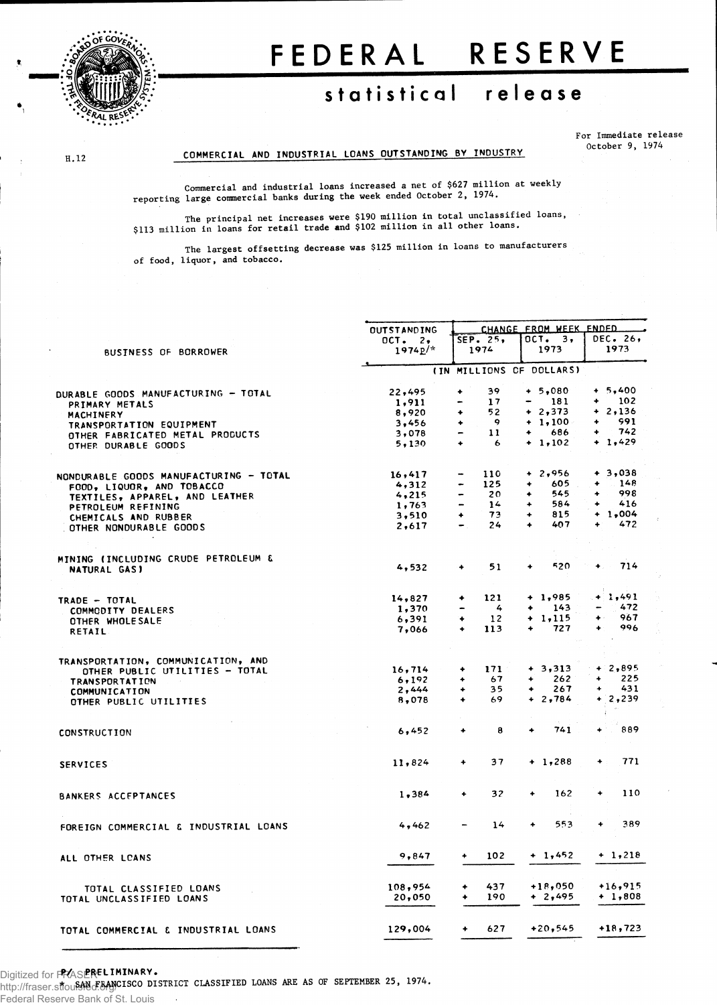

**H.12** 

# FEDERA L RESERV E

## **statistica l releas e**

**For Immediate release October 9, 1974**

#### **COMMERCIAL AND INDUSTRIAL LOANS OUTSTANDING BY INDUSTRY**

**Commercial and industrial loans increased a net of \$627 million at weekly reporting large commercial banks during the week ended October 2, 1974.**

**The principal net increases were \$190 million in total unclassified loans, \$113 million in loans for retail trade and \$102 million in all other loans.**

**The largest offsetting decrease was \$125 million in loans to manufacturers of food, liquor, and tobacco.**

|                                                        | <b>OUTSTANDING</b> |                              | CHANGE FROM WEEK ENDED |             |           |             |           |  |  |  |
|--------------------------------------------------------|--------------------|------------------------------|------------------------|-------------|-----------|-------------|-----------|--|--|--|
|                                                        | OCT. 2,            |                              | SEP. 25,               |             | OCT. 3,   |             | DEC. 26,  |  |  |  |
| <b>BUSINESS OF BORROWER</b>                            | $1974p^{\prime*}$  |                              | 1974                   |             | 1973      |             | 1973      |  |  |  |
|                                                        |                    | (IN MILLIONS OF DOLLARS)     |                        |             |           |             |           |  |  |  |
| <b>DURABLE GOODS MANUFACTURING - TOTAL</b>             | 22,495             | ٠                            | 39                     |             | $+ 5.080$ |             | $+ 5,400$ |  |  |  |
| PRIMARY METALS                                         | 1,911              |                              | 17                     |             | 181       | ۰           | 102       |  |  |  |
| MACHINERY                                              | 8,920              | ۰                            | 52                     |             | $+2,373$  |             | $+2,136$  |  |  |  |
| TRANSPORTATION EQUIPMENT                               | 3,456              | ۰                            | $\cdot$                |             | $+1,100$  | ۰           | 991       |  |  |  |
|                                                        | 3,078              | -                            | 11                     | ٠           | 686       | ۰           | 742       |  |  |  |
| OTHER FABRICATED METAL PRODUCTS<br>OTHER DURABLE GOODS | 5,130              | ٠                            | 6                      |             | $+ 1,102$ |             | $+ 1,429$ |  |  |  |
|                                                        |                    |                              |                        |             |           |             |           |  |  |  |
| NONDURABLE GOODS MANUFACTURING - TOTAL                 | 16,417             |                              | 110                    |             | $+2,956$  |             | $+3,038$  |  |  |  |
| FOOD, LIQUOR, AND TOBACCO                              | 4,312              |                              | 125                    | ۰           | 605       | ۰           | 148       |  |  |  |
| TEXTILES, APPAREL, AND LEATHER                         | 4,215              | $\blacksquare$               | 20                     | ۰           | 545       |             | 998       |  |  |  |
| PETROLEUM REFINING                                     | 1,763              | $\qquad \qquad \blacksquare$ | 14                     | ۰           | 584       | ۰           | 416       |  |  |  |
|                                                        | 3,510              | ٠                            | 73                     | ۰           | 815       |             | $+ 1,004$ |  |  |  |
| CHEMICALS AND RUBBER                                   | 2,617              |                              | 24                     | ۰           | 407       | ۰           | 472       |  |  |  |
| OTHER NONDURABLE GOODS                                 |                    |                              |                        |             |           |             |           |  |  |  |
|                                                        |                    |                              |                        |             |           |             |           |  |  |  |
| <b>MINING (INCLUDING CRUDE PETROLEUM &amp;</b>         | 4,532              | ٠                            | 51                     | ۰           | 520       | ۰           | 714       |  |  |  |
| <b>NATURAL GAS)</b>                                    |                    |                              |                        |             |           |             |           |  |  |  |
|                                                        |                    |                              | 121                    |             | $+ 1,985$ |             | + 1,491   |  |  |  |
| TRADE - TOTAL                                          | 14,827             | ۰                            |                        |             |           |             | 472       |  |  |  |
| <b>COMMODITY DEALERS</b>                               | 1,370              |                              | 4                      | ٠           | 143       |             |           |  |  |  |
| OTHER WHOLESALE                                        | 6,391              | ٠                            | 12                     | ۰           | 1,115     | ۰           | 967       |  |  |  |
| RETAIL                                                 | 7,066              | $\ddotmark$                  | 113                    |             | 727       |             | 996       |  |  |  |
|                                                        |                    |                              |                        |             |           |             |           |  |  |  |
| TRANSPORTATION, COMMUNICATION, AND                     |                    |                              |                        |             |           |             |           |  |  |  |
| OTHER PUBLIC UTILITIES - TOTAL                         | 16,714             | ۰                            | 171                    |             | $+3,313$  |             | $+2,895$  |  |  |  |
| <b>TRANSPORTATION</b>                                  | 6,192              | ٠                            | 67                     | $\ddotmark$ | 262       | $\ddotmark$ | 225       |  |  |  |
| COMMUNICATION                                          | 2,444              | ٠                            | 35                     | ٠           | 267       | $\ddot{}$   | 431       |  |  |  |
| OTHER PUBLIC UTILITIES                                 | 8,078              | $\ddotmark$                  | 69                     |             | 2,784     |             | 2,239     |  |  |  |
|                                                        |                    |                              |                        |             |           |             |           |  |  |  |
| <b>CONSTRUCTION</b>                                    | 6,452              | $\ddotmark$                  | 8                      | $\bullet$   | 741       |             | 889       |  |  |  |
| <b>SERVICES</b>                                        | 11,824             | ۰                            | 37                     |             | $+ 1,288$ | ٠           | 771       |  |  |  |
|                                                        |                    |                              |                        |             |           |             |           |  |  |  |
| BANKERS ACCEPTANCES                                    | 1,384              | ٠                            | 32                     | ٠           | 162       | ۰           | 110       |  |  |  |
|                                                        |                    |                              |                        |             |           |             |           |  |  |  |
| FOREIGN COMMERCIAL & INDUSTRIAL LOANS                  | 4,462              |                              | 14                     | ٠           | 553       |             | 389       |  |  |  |
|                                                        |                    |                              |                        |             |           |             |           |  |  |  |
| ALL OTHER LCANS                                        | 9,847              | ٠                            | 102                    |             | $+ 1,452$ |             | $+ 1,218$ |  |  |  |
|                                                        |                    |                              |                        |             |           |             |           |  |  |  |
| TOTAL CLASSIFIED LOANS                                 | 108,954            | ٠                            | 437                    |             | +18,050   |             | $+16,915$ |  |  |  |
| TOTAL UNCLASSIFIED LOANS                               | 20,050             |                              | 190                    |             | + 2,495   |             | $+ 1,808$ |  |  |  |
|                                                        |                    |                              |                        |             |           |             |           |  |  |  |
| TOTAL COMMERCIAL & INDUSTRIAL LOANS                    | 129,004            | $\ddotmark$                  | 627                    |             | $+20,545$ |             | $+18,723$ |  |  |  |
|                                                        |                    |                              |                        |             |           |             |           |  |  |  |

**P/ PRELIMINARY.** Digitized for FRASER

**\* SAN FRANCISCO DISTRICT CLASSIFIED LOANS ARE AS OF SEPTEMBER 25, 1974.** http://fraser.stlouisfed.org/

Federal Reserve Bank of St. Louis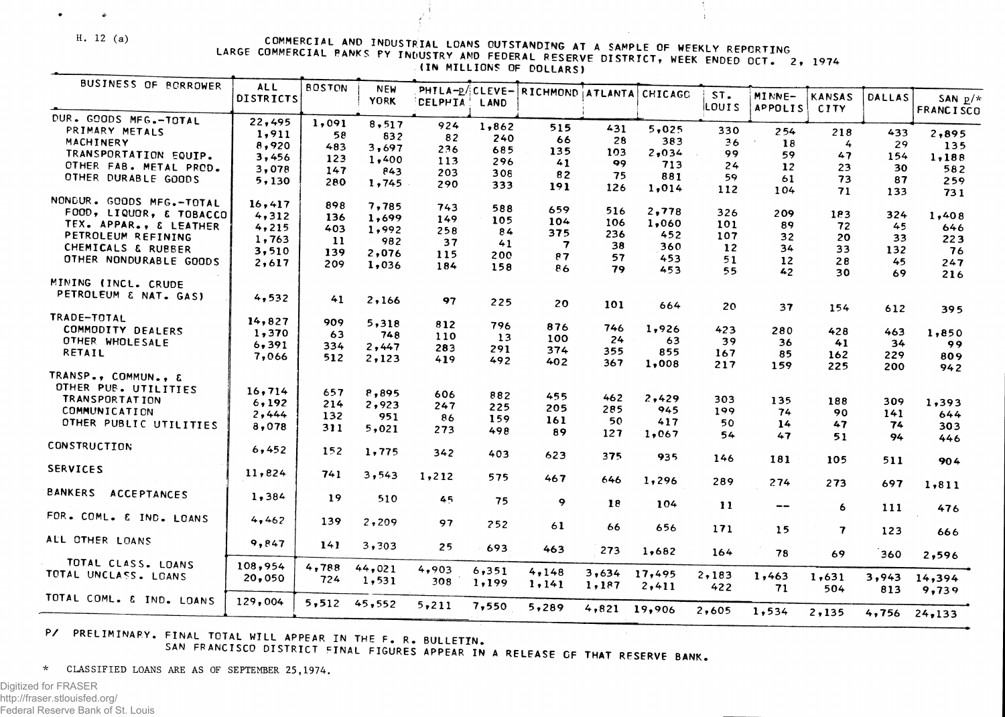**H . 12 (a)**

 $\mathbb{Z}^2$ 

 $\bullet$ 

COMMERCIAL AND INDUSTRIAL LOANS OUTSTANDING AT A SAMPLE OF WEEKLY REPORTING<br>COMMERCIAL PANKS PY INDUSTRY AND FEDERAL RESERVE DIGTRICT ... LARGE COMMERCIAL PANKS PY INDUSTRY AND FEDERAL RESERVE DISTRICT, WEEK ENDED OCT. 2, 1974

**I** 

| BUSINESS OF BORROWER                 | <b>ALL</b><br><b>DISTRICTS</b> | <b>BOSTON</b> | <b>NEW</b><br><b>YORK</b> |                |       | PHILA-P/CLEVE- RICHMOND ATLANTA |       | CHICAGO | ST.   | MINNE-                              | <b>KANSAS</b>           | <b>DALLAS</b> | SAN $p/\pi$      |
|--------------------------------------|--------------------------------|---------------|---------------------------|----------------|-------|---------------------------------|-------|---------|-------|-------------------------------------|-------------------------|---------------|------------------|
|                                      |                                |               |                           | <b>CELPHIA</b> | LAND  |                                 |       |         | LOUIS | <b>APPOLIS</b>                      | <b>CITY</b>             |               | <b>FRANCISCO</b> |
| DUR. GOODS MFG.-TOTAL                | 22,495                         | 1,091         | 8, 517                    | 924            | 1,862 | 515                             |       |         |       |                                     |                         |               |                  |
| PRIMARY METALS                       | 1,911                          | 58            | 832                       | 82             | 240   | 66                              | 431   | 5,025   | 330   | 254                                 | 218                     | 433           | 2,895            |
| MACHINERY                            | 8,920                          | 483           | 3,697                     | 236            | 685   | 135                             | 28    | 383     | 36    | 18                                  | 4                       | 29            | 135              |
| TRANSPORTATION EQUIP.                | 3,456                          | 123           | 1,400                     | 113            | 296   |                                 | 103   | 2,034   | 99    | 59                                  | 47                      | 154           | 1,188            |
| CTHER FAB. METAL PROD.               | 3,078                          | 147           | 843                       | 203            |       | 41                              | 99    | 713     | 24    | 12                                  | 23                      | 30            | 582              |
| OTHER DURABLE GOODS                  | 5,130                          | 280           | 1,745                     |                | 308   | 82                              | 75    | 881     | 59    | 61                                  | 73                      | 87            | 259              |
|                                      |                                |               |                           | 290            | 333   | 191                             | 126   | 1,014   | 112   | 104                                 | 71                      | 133           | 731              |
| NONDUR. GOODS MFG.-TOTAL             | 16,417                         | 898           | 7,785                     | 743            |       |                                 |       |         |       |                                     |                         |               |                  |
| FOOD, LIQUOR, & TOBACCO              | 4,312                          | 136           | 1,699                     |                | 588   | 659                             | 516   | 2,778   | 326   | 209                                 | 183                     | 324           | 1,408            |
| TEX. APPAR., & LEATHER               | 4,215                          | 403           | 1,992                     | 149            | 105   | 104                             | 106   | 1,060   | 101   | 89                                  | 72                      | 45            | 646              |
| PETROLEUM REFINING                   | 1,763                          |               |                           | 258            | 84    | 375                             | 236   | 452     | 107   | 32                                  | 20                      | 33            | 223              |
| CHEMICALS & RUBBER                   | 3,510                          | -11           | 982                       | 37             | 41    | $\overline{\mathbf{7}}$         | 38    | 360     | 12    | 34                                  | 33                      | 132           | 76               |
| OTHER NONDURABLE GOODS               |                                | 139           | 2,076                     | 115            | 200   | 87                              | 57    | 453     | 51    | 12                                  | 28                      | 45            | 247              |
|                                      | 2,617                          | 209           | 1,036                     | 184            | 158   | 86                              | 79    | 453     | 55    | 42                                  | 30                      | 69            | 216              |
| MINING (INCL. CRUDE                  |                                |               |                           |                |       |                                 |       |         |       |                                     |                         |               |                  |
| PETROLEUM & NAT. GAS)                |                                |               |                           |                |       |                                 |       |         |       |                                     |                         |               |                  |
|                                      | 4,532                          | 41            | 2,166                     | 97             | 225   | 20                              | 101   | 664     | 20    | 37                                  | 154                     | 612           | 395              |
| TRADE-TOTAL                          |                                |               |                           |                |       |                                 |       |         |       |                                     |                         |               |                  |
| COMMODITY DEALERS                    | 14,827                         | 909           | 5,318                     | 812            | 796   | 876                             | 746   | 1,926   | 423   | 280                                 | 428                     |               |                  |
| OTHER WHOLESALE                      | 1,370                          | 63            | 748                       | 110            | 13    | 100                             | 24    | 63      | 39    | 36                                  |                         | 463           | 1,850            |
| RETAIL                               | 6,391                          | 334           | 2,447                     | 283            | 291   | 374                             | 355   | 855     | 167   | 85                                  | 41                      | 34            | 99               |
|                                      | 7,066                          | 512           | 2,123                     | 419            | 492   | 402                             | 367   | 1,008   | 217   | 159                                 | 162                     | 229           | 809              |
| TRANSP., COMMUN., &                  |                                |               |                           |                |       |                                 |       |         |       |                                     | 225                     | 200           | 942              |
| OTHER PUB. UTILITIES                 |                                |               |                           |                |       |                                 |       |         |       |                                     |                         |               |                  |
| <b>TRANSPORTATION</b>                | 16,714                         | 657           | 8,895                     | 606            | 882   | 455                             | 462   | 2,429   | 303   |                                     |                         |               |                  |
| COMMUNICATION                        | 6,192                          | 214           | 2,923                     | 247            | 225   | 205                             | 285   | 945     |       | 135                                 | 188                     | 309           | 1,393            |
|                                      | 2,444                          | 132           | 951                       | 86             | 159   | 161                             | 50    | 417     | 199   | 74                                  | 90                      | 141           | 644              |
| OTHER PUBLIC UTILITIES               | 8,078                          | 311           | 5,021                     | 273            | 498   | 89                              | 127   | 1,067   | 50    | 14                                  | 47                      | 74            | 303              |
|                                      |                                |               |                           |                |       |                                 |       |         | 54    | 47                                  | 51                      | 94            | 446              |
| CONSTRUCTION                         | 6,452                          | 152           | 1,775                     | 342            | 403   | 623                             | 375   |         |       |                                     |                         |               |                  |
|                                      |                                |               |                           |                |       |                                 |       | 935     | 146   | 181                                 | 105                     | 511           | 904              |
| <b>SERVICES</b>                      | 11,824                         | 741           | 3, 543                    | 1,212          | 575   | 467                             | 646   |         |       |                                     |                         |               |                  |
|                                      |                                |               |                           |                |       |                                 |       | 1,296   | 289   | 274                                 | 273                     | 697           | 1,811            |
| <b>BANKERS</b><br><b>ACCEPTANCES</b> | 1,384                          | 19            | 510                       | 45             | 75    | 9                               |       |         |       |                                     |                         |               |                  |
|                                      |                                |               |                           |                |       |                                 | 18    | 104     | 11    | $\hspace{0.05cm}$ $\hspace{0.05cm}$ | 6                       | 111           | 476              |
| FOR. COML. & IND. LOANS              | 4,462                          | 139           | 2,209                     | 97             | 252   |                                 |       |         |       |                                     |                         |               |                  |
|                                      |                                |               |                           |                |       | 61                              | 66    | 656     | 171   | 15                                  | $\overline{\mathbf{7}}$ | 123           | 666              |
| ALL OTHER LOANS                      | 9,847                          | 141           | 3,303                     | 25             | 693   |                                 |       |         |       |                                     |                         |               |                  |
|                                      |                                |               |                           |                |       | 463                             | 273   | 1,682   | 164   | 78                                  | 69                      | 360           | 2,596            |
| TOTAL CLASS. LOANS                   | 108,954                        | 4,788         | 44,021                    | 4,903          |       |                                 |       |         |       |                                     |                         |               |                  |
| TOTAL UNCLASS. LOANS                 | 20,050                         | 724           | 1,531                     | 308            | 6,351 | 4,148                           | 3,634 | 17,495  | 2,183 | 1,463                               | 1,631                   | 3,943         | 14,394           |
|                                      |                                |               |                           |                | 1,199 | 1, 141                          | 1,187 | 2,411   | 422   | 71                                  | 504                     | 813           | 9,739            |
| TOTAL COML. & IND. LOANS             | 129,004                        | 5,512         | 45,552                    | 5,211          |       |                                 |       |         |       |                                     |                         |               |                  |
|                                      |                                |               |                           |                | 7,550 | 5,289                           | 4,821 | 19,906  | 2,605 | 1,534                               | 2,135                   | 4,756         | 24,133           |
|                                      |                                |               |                           |                |       |                                 |       |         |       |                                     |                         |               |                  |

**P/ PRELIMINARY . FINAL TOTAL WILL APPEAR IN T HE F. R . BULLETIN**

**SAN FRANCISC O DISTRICT FINAL FIGURES APPEAR IN A RELEAS E OF THAT RESERV E BANK .**

**\* CLASSIFIE D LOAN S A R E A S OF SEPTEMBER 25,1974.**

Digitized for FRASER http://fraser.stlouisfed.org/ Federal Reserve Bank of St. Louis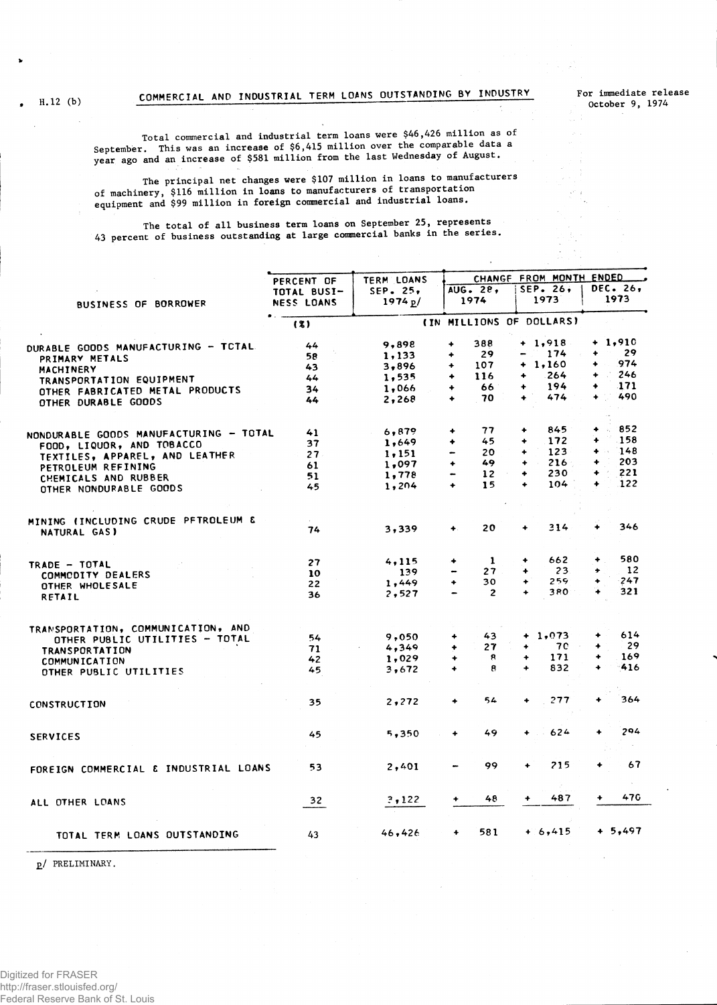**For immediate release October 9, 1974**

**Total commercial and industrial term loans were \$46,426 million as of** September. This was an increase of  $$6,415$  million over the comparable data a **year ago and an increase of \$581 million from the last Wednesday of August.**

**The principal net changes were \$107 million in loans to manufacturers of machinery, \$116 million in loans to manufacturers of transportation equipment and \$99 million in foreign commercial and industrial loans.**

**T he total of all business term loans on September 25, represents** 43 **percent of business outstanding at large commercial banks in the series.**

|                                        | PERCENT OF        | TERM LOANS | CHANGE FROM MONTH ENDED |                                     |                                   |  |  |  |  |
|----------------------------------------|-------------------|------------|-------------------------|-------------------------------------|-----------------------------------|--|--|--|--|
|                                        | TOTAL BUSI-       | SEP. 25.   | AUG. 28,                | SEP. 26,                            | <b>DEC. 26,</b>                   |  |  |  |  |
| <b>BUSINESS OF BORROWER</b>            | <b>NESS LOANS</b> | 1974 p/    | 1974                    | 1973                                | 1973                              |  |  |  |  |
|                                        | (3)               |            |                         | (IN MILLIONS OF DOLLARS)            |                                   |  |  |  |  |
| DURABLE GOODS MANUFACTURING - TCTAL    | 44                | 9,898      | 388<br>۰                | $+ 1,918$                           | $+1,910$                          |  |  |  |  |
| PRIMARY METALS                         | 58                | 1,133      | 29<br>٠                 | 174                                 | 29<br>۰                           |  |  |  |  |
| MACHINERY                              | 43                | 3,896      | 107<br>٠                | $+ 1,160$                           | 974<br>$\ddotmark$                |  |  |  |  |
| TRANSPORTATION EQUIPMENT               | 44                | 1,535      | 116<br>۰                | 264<br>۰                            | A.<br>246<br>$\ddot{\phantom{1}}$ |  |  |  |  |
| OTHER FABRICATED METAL PRODUCTS        | 34                | 1,066      | 66<br>۰                 | 194<br>۰                            | 171<br>۰                          |  |  |  |  |
| OTHER DURABLE GOODS                    | 44                | 2,268      | 70<br>٠                 | 474<br>$\bullet$                    | 490<br>$\ddotmark$                |  |  |  |  |
|                                        |                   |            |                         |                                     |                                   |  |  |  |  |
| NONDURABLE GOODS MANUFACTURING - TOTAL | 41                | 6,879      | 77<br>۰                 | 845<br>۰                            | $\cdot$ 852<br>۰                  |  |  |  |  |
| FOOD, LIQUOR, AND TOBACCO              | 37                | 1,649      | 45<br>۰                 | 172<br>۰                            | .158<br>٠                         |  |  |  |  |
| TEXTILES, APPAREL, AND LEATHER         | 27                | 1,151      | 20<br>-                 | 123<br>$\ddotmark$                  | $+ 148$                           |  |  |  |  |
| PETROLEUM REFINING                     | 61                | 1,097      | 49<br>$\ddotmark$       | 216<br>٠<br>mar.                    | 203<br>$\ddotmark$                |  |  |  |  |
| CHEMICALS AND RUBBER                   | 51                | 1,778      | 12 <sup>2</sup><br>-    | 230<br>٠                            | 221<br>٠                          |  |  |  |  |
| OTHER NONDURABLE GOODS                 | 45                | 1,204      | 15<br>$\ddotmark$       | 104<br>٠                            | .122<br>٠                         |  |  |  |  |
|                                        |                   |            |                         |                                     |                                   |  |  |  |  |
| MINING (INCLUDING CRUDE PFTROLEUM &    | 74                | 3,339      | 20<br>$\ddot{}$         | 314<br>۰                            | 346                               |  |  |  |  |
| NATURAL GAS)                           |                   |            |                         |                                     |                                   |  |  |  |  |
| TRADE - TOTAL                          | 27                | 4,115      | 1<br>۰                  | 662<br>٠                            | 580<br>۰                          |  |  |  |  |
| COMMODITY DEALERS                      | 10                | 139        | 27                      | 23.<br>$\ddotmark$                  | 12<br>۰                           |  |  |  |  |
|                                        | 22                | 1,449      | 30<br>$\ddotmark$       | 259<br>٠                            | 247                               |  |  |  |  |
| OTHER WHOLESALE<br>RETAIL              | 36                | 2,527      | $\overline{2}$          | 380<br>$\ddotmark$                  | 321<br>÷                          |  |  |  |  |
|                                        |                   |            |                         |                                     |                                   |  |  |  |  |
| TRANSPORTATION, COMMUNICATION, AND     |                   |            |                         |                                     |                                   |  |  |  |  |
| OTHER PUBLIC UTILITIES - TOTAL         | 54                | 9,050      | 43<br>۰                 | $+1,073$                            | 614                               |  |  |  |  |
| <b>TRANSPORTATION</b>                  | 71                | 4,349      | 27<br>٠                 | 70<br>٠                             | 29<br>٠                           |  |  |  |  |
| <b>COMMUNICATION</b>                   | 42                | 1,029      | 8<br>۰                  | 171<br>$\ddotmark$                  | 169                               |  |  |  |  |
| OTHER PUBLIC UTILITIES                 | 45                | 3,672      | 8<br>$\ddotmark$        | 832<br>$\ddotmark$                  | 416<br>$\ddotmark$                |  |  |  |  |
|                                        |                   |            |                         |                                     |                                   |  |  |  |  |
| CONSTRUCTION                           | 35                | 2,272      | 54<br>۰                 | 277<br>٠                            | 364<br>۰                          |  |  |  |  |
|                                        |                   |            |                         |                                     | 294<br>$\ddotmark$                |  |  |  |  |
| <b>SERVICES</b>                        | 45                | 5,350      | 49<br>$\ddot{}$         | 624<br>$\ddotmark$<br>$\sim$ $\sim$ |                                   |  |  |  |  |
|                                        |                   |            | 99                      | 215<br>۰                            | 67<br>$\ddot{}$                   |  |  |  |  |
| FOREIGN COMMERCIAL & INDUSTRIAL LOANS  | 53                | 2,401      |                         |                                     |                                   |  |  |  |  |
| ALL OTHER LOANS                        | 32                | 3,122      | 48<br>۰                 | 487                                 | 470<br>۰                          |  |  |  |  |
|                                        |                   |            |                         |                                     |                                   |  |  |  |  |
| TOTAL TERM LOANS OUTSTANDING           | 43                | 46,426     | 581<br>$\ddotmark$      | $+ 6, 415$                          | $+ 5,497$                         |  |  |  |  |
|                                        |                   |            |                         |                                     |                                   |  |  |  |  |

**£/ PRELIMINARY.**

**H.12 (b)**